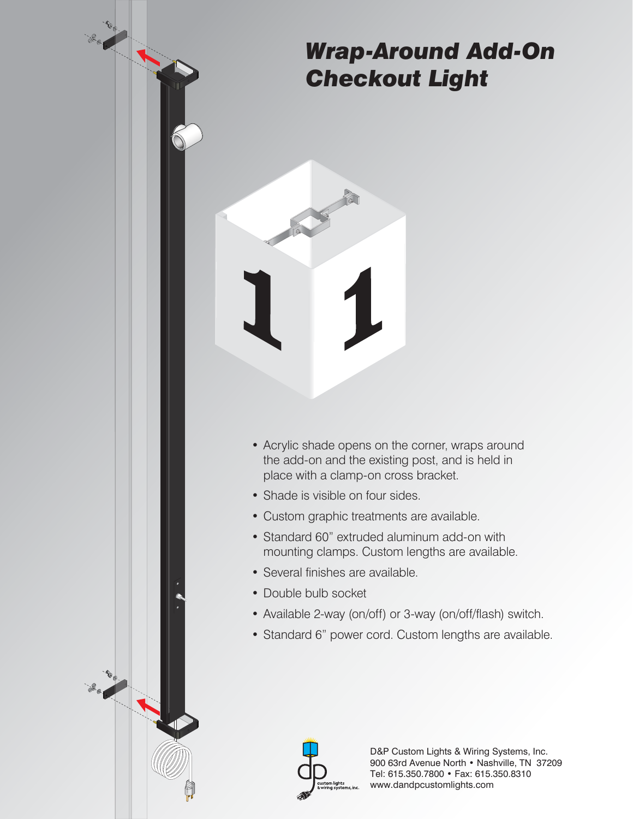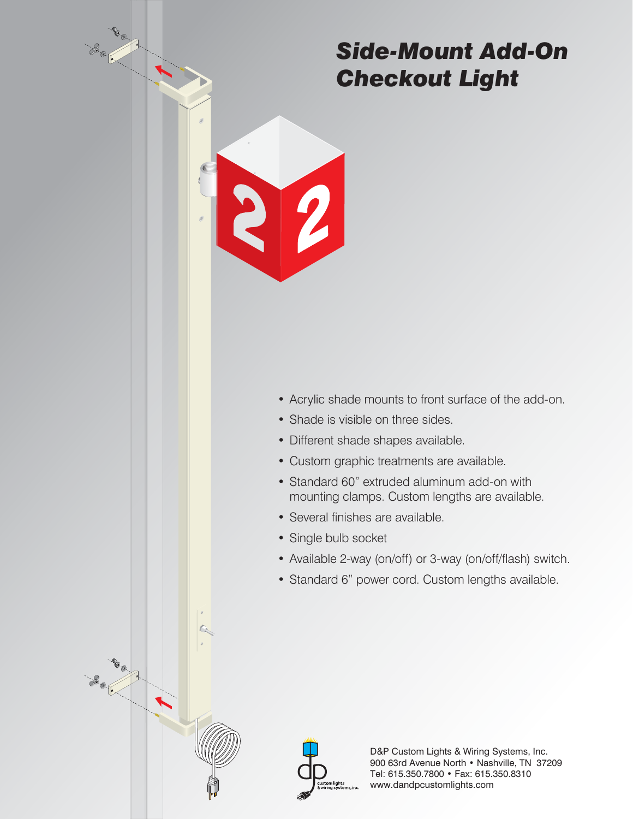### *Side-Mount Add-On Checkout Light*

- Acrylic shade mounts to front surface of the add-on.
- Shade is visible on three sides.
- Different shade shapes available.
- Custom graphic treatments are available.
- Standard 60" extruded aluminum add-on with mounting clamps. Custom lengths are available.
- Several finishes are available.
- Single bulb socket
- Available 2-way (on/off) or 3-way (on/off/flash) switch.
- Standard 6" power cord. Custom lengths available.

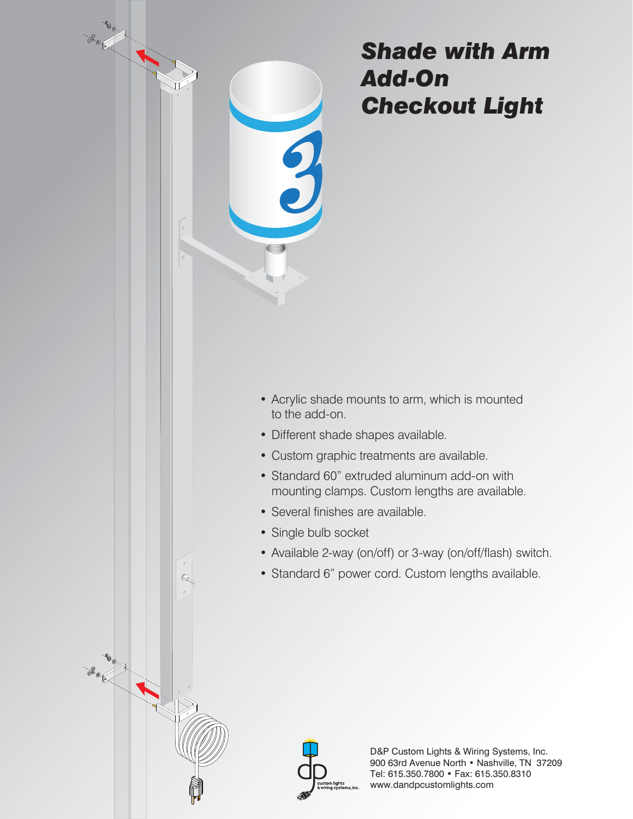

### *Shade with Arm Add-On Checkout Light*

- Acrylic shade mounts to arm, which is mounted to the add-on.
- Different shade shapes available.
- Custom graphic treatments are available.
- Standard 60" extruded aluminum add-on with mounting clamps. Custom lengths are available.
- Several finishes are available.
- Single bulb socket
- Available 2-way (on/off) or 3-way (on/off/flash) switch.
- Standard 6" power cord. Custom lengths available.

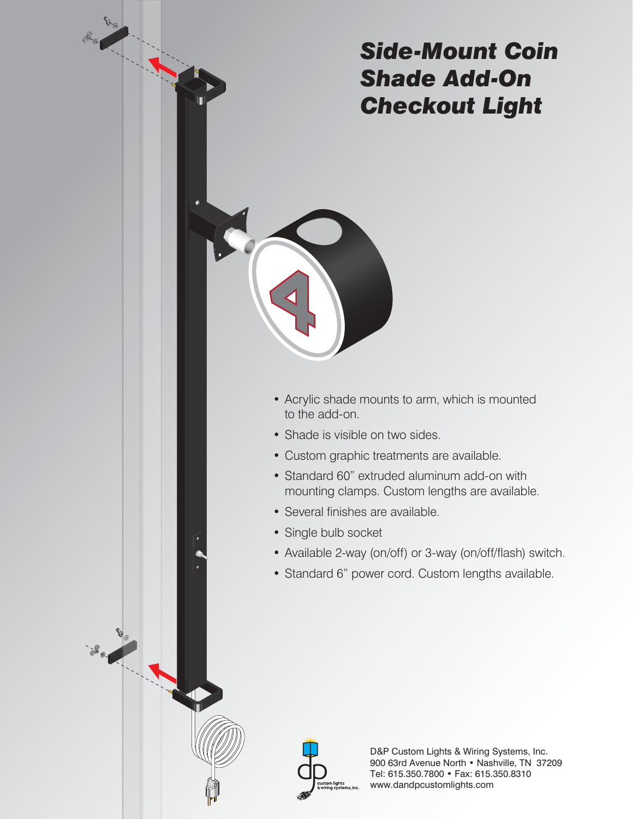# *Side-Mount Coin Shade Add-On Checkout Light*

- Acrylic shade mounts to arm, which is mounted to the add-on.
- Shade is visible on two sides.
- Custom graphic treatments are available.
- Standard 60" extruded aluminum add-on with mounting clamps. Custom lengths are available.
- Several finishes are available.
- Single bulb socket
- Available 2-way (on/off) or 3-way (on/off/flash) switch.
- Standard 6" power cord. Custom lengths available.



Barnet Rock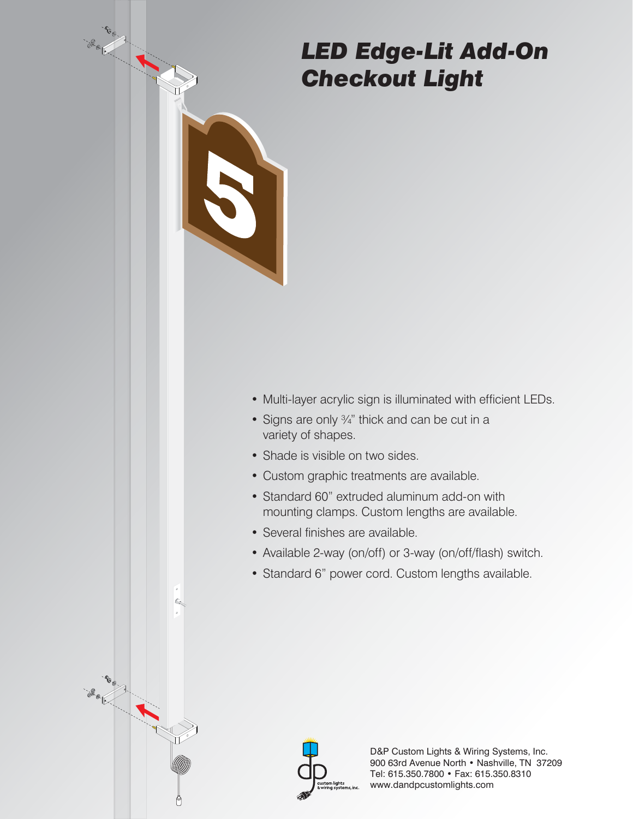## *LED Edge-Lit Add-On Checkout Light*

- Multi-layer acrylic sign is illuminated with efficient LEDs.
- Signs are only 3/4" thick and can be cut in a variety of shapes.
- Shade is visible on two sides.
- Custom graphic treatments are available.
- Standard 60" extruded aluminum add-on with mounting clamps. Custom lengths are available.
- Several finishes are available.

G.

**Book 1000** 

- Available 2-way (on/off) or 3-way (on/off/flash) switch.
- Standard 6" power cord. Custom lengths available.

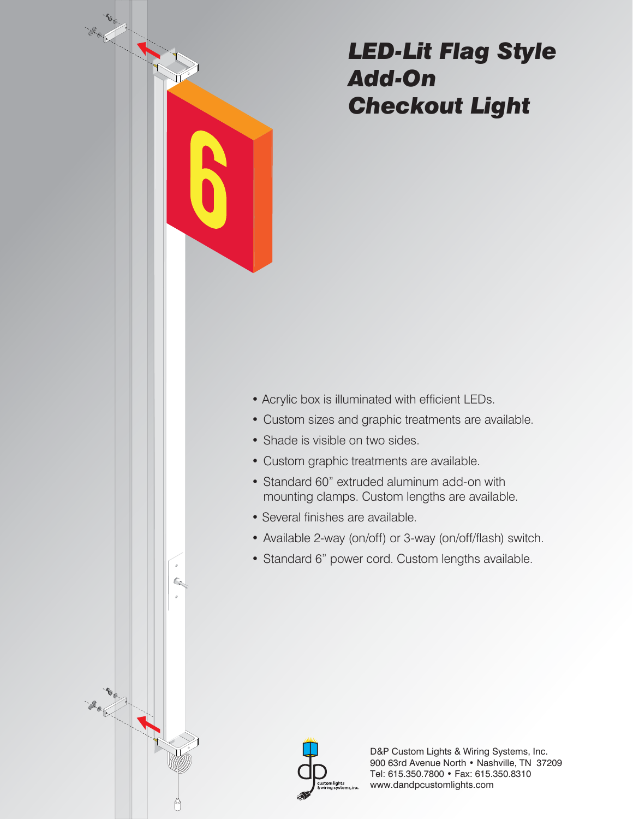

- Acrylic box is illuminated with efficient LEDs.
- Custom sizes and graphic treatments are available.
- Shade is visible on two sides.
- Custom graphic treatments are available.
- Standard 60" extruded aluminum add-on with mounting clamps. Custom lengths are available.
- Several finishes are available.
- Available 2-way (on/off) or 3-way (on/off/flash) switch.
- Standard 6" power cord. Custom lengths available.



BOOK A